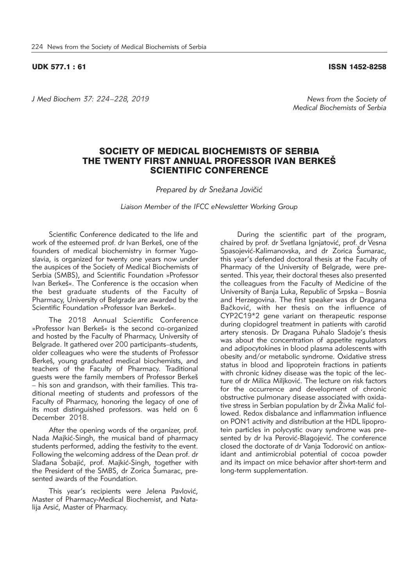## UDK 577.1 : 61 ISSN 1452-8258

*J Med Biochem 37: 224–228, 2019 News from the Society of* 

*Medical Biochemists of Serbia*

## SOCIETY OF MEDICAL BIOCHEMISTS OF SERBIA THE TWENTY FIRST ANNUAL PROFESSOR IVAN BERKES SCIENTIFIC CONFERENCE

*Prepared by dr Snežana Jovičić* 

*Liaison Member of the IFCC eNewsletter Working Group*

Scientific Conference dedicated to the life and work of the esteemed prof. dr Ivan Berkeš, one of the founders of medical biochemistry in former Yugoslavia, is organized for twenty one years now under the auspices of the Society of Medical Biochemists of Serbia (SMBS), and Scientific Foundation »Professor Ivan Berkeš«. The Conference is the occasion when the best graduate students of the Faculty of Pharmacy, University of Belgrade are awarded by the Scientific Foundation »Professor Ivan Berkeš«.

The 2018 Annual Scientific Conference »Professor Ivan Berkeš« is the second co-organized and hosted by the Faculty of Pharmacy, University of Belgrade. It gathered over 200 participants–students, older colleagues who were the students of Professor Berkeš, young graduated medical biochemists, and teachers of the Faculty of Pharmacy. Traditional guests were the family members of Professor Berkes – his son and grandson, with their families. This traditional meeting of students and professors of the Faculty of Pharmacy, honoring the legacy of one of its most distinguished professors. was held on 6 December 2018.

After the opening words of the organizer, prof. Nada Majkić-Singh, the musical band of pharmacy students performed, adding the festivity to the event. Following the welcoming address of the Dean prof. dr Slađana Šobajić, prof. Majkić-Singh, together with the President of the SMBS, dr Zorica Šumarac, presented awards of the Foundation.

This year's recipients were Jelena Pavlović, Master of Pharmacy-Medical Biochemist, and Natalija Arsić, Master of Pharmacy.

During the scientific part of the program, chaired by prof. dr Svetlana Igniatović, prof. dr Vesna Spasojević-Kalimanovska, and dr Zorica Šumarac, this year's defended doctoral thesis at the Faculty of Pharmacy of the University of Belgrade, were presented. This year, their doctoral theses also presented the colleagues from the Faculty of Medicine of the University of Banja Luka, Republic of Srpska – Bosnia and Herzegovina. The first speaker was dr Dragana Bačković, with her thesis on the influence of CYP2C19\*2 gene variant on therapeutic response during clopidogrel treatment in patients with carotid artery stenosis. Dr Dragana Puhalo Sladoje's thesis was about the concentration of appetite regulators and adipocytokines in blood plasma adolescents with obesity and/or metabolic syndrome. Oxidative stress status in blood and lipoprotein fractions in patients with chronic kidney disease was the topic of the lecture of dr Milica Miljković. The lecture on risk factors for the occurrence and development of chronic obstructive pulmonary disease associated with oxidative stress in Serbian population by dr Živka Malić followed. Redox disbalance and inflammation influence on PON1 activity and distribution at the HDL lipoprotein particles in polycystic ovary syndrome was presented by dr Iva Perović-Blagojević. The conference closed the doctorate of dr Vanja Todorović on antioxidant and antimicrobial potential of cocoa powder and its impact on mice behavior after short-term and long-term supplementation.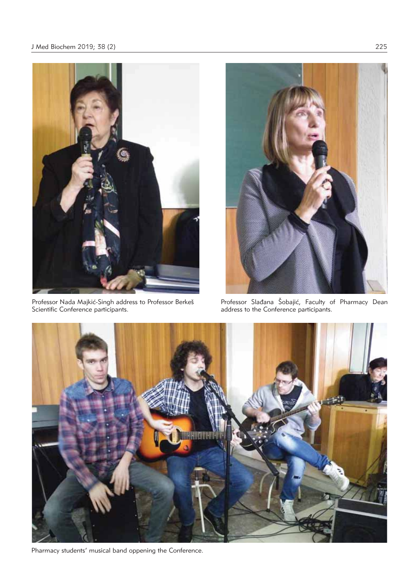

Professor Nada Majkić-Singh address to Professor Berkeš Scientific Conference participants.



Professor Slađana Sobajić, Faculty of Pharmacy Dean address to the Conference participants.



Pharmacy students' musical band oppening the Conference.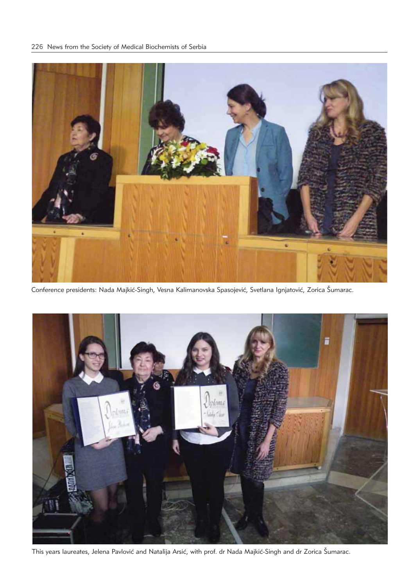

Conference presidents: Nada Majkić-Singh, Vesna Kalimanovska Spasojević, Svetlana Ignjatović, Zorica Šumarac.



This years laureates, Jelena Pavlović and Natalija Arsić, with prof. dr Nada Majkić-Singh and dr Zorica Šumarac.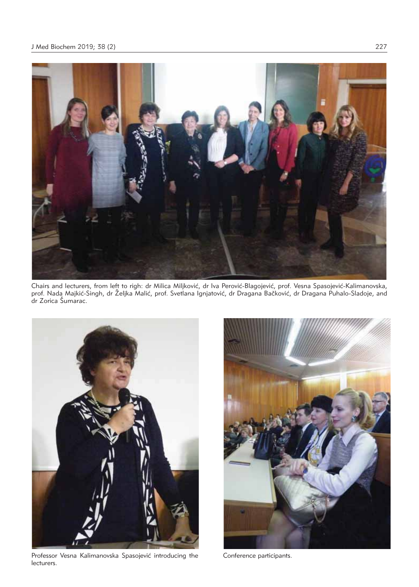

Chairs and lecturers, from left to righ: dr Milica Miljković, dr Iva Perović-Blagojević, prof. Vesna Spasojević-Kalimanovska, prof. Nada Majkić-Singh, dr Željka Malić, prof. Svetlana Ignjatović, dr Dragana Bačković, dr Dragana Puhalo-Sladoje, and dr Zorica Šumarac.



Professor Vesna Kalimanovska Spasojević introducing the lecturers.



Conference participants.